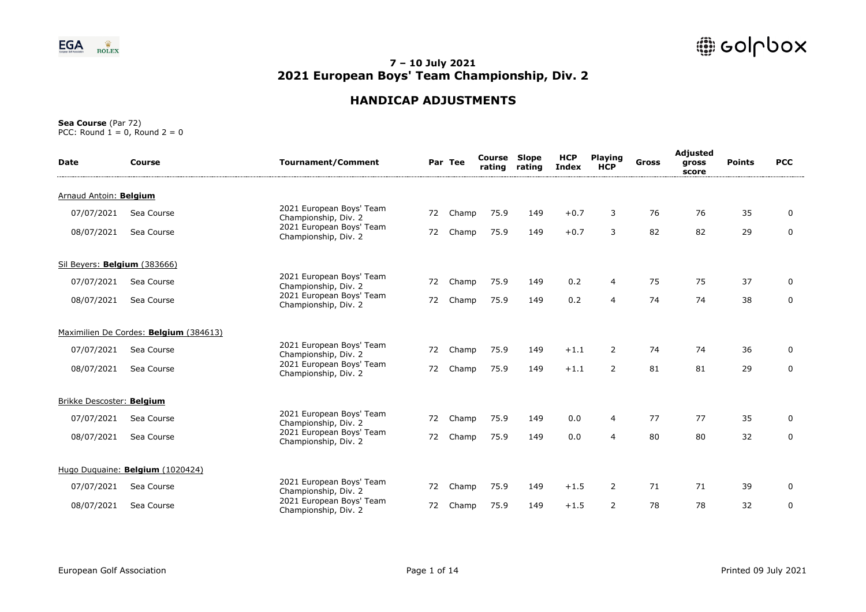

# **HANDICAP ADJUSTMENTS**

| <b>Date</b>                  | Course                                 | <b>Tournament/Comment</b>                        |    | Par Tee | Course<br>rating | Slope<br>rating | <b>HCP</b><br><b>Index</b> | <b>Playing</b><br><b>HCP</b> | <b>Gross</b> | Adjusted<br>gross<br>score | <b>Points</b> | <b>PCC</b>  |
|------------------------------|----------------------------------------|--------------------------------------------------|----|---------|------------------|-----------------|----------------------------|------------------------------|--------------|----------------------------|---------------|-------------|
| Arnaud Antoin: Belgium       |                                        |                                                  |    |         |                  |                 |                            |                              |              |                            |               |             |
| 07/07/2021                   | Sea Course                             | 2021 European Boys' Team<br>Championship, Div. 2 | 72 | Champ   | 75.9             | 149             | $+0.7$                     | 3                            | 76           | 76                         | 35            | 0           |
| 08/07/2021                   | Sea Course                             | 2021 European Boys' Team<br>Championship, Div. 2 | 72 | Champ   | 75.9             | 149             | $+0.7$                     | 3                            | 82           | 82                         | 29            | 0           |
| Sil Beyers: Belgium (383666) |                                        |                                                  |    |         |                  |                 |                            |                              |              |                            |               |             |
| 07/07/2021                   | Sea Course                             | 2021 European Boys' Team<br>Championship, Div. 2 | 72 | Champ   | 75.9             | 149             | 0.2                        | $\overline{4}$               | 75           | 75                         | 37            | 0           |
| 08/07/2021                   | Sea Course                             | 2021 European Boys' Team<br>Championship, Div. 2 | 72 | Champ   | 75.9             | 149             | 0.2                        | $\overline{4}$               | 74           | 74                         | 38            | $\mathbf 0$ |
|                              | Maximilien De Cordes: Belgium (384613) |                                                  |    |         |                  |                 |                            |                              |              |                            |               |             |
| 07/07/2021                   | Sea Course                             | 2021 European Boys' Team<br>Championship, Div. 2 | 72 | Champ   | 75.9             | 149             | $+1.1$                     | $\overline{2}$               | 74           | 74                         | 36            | 0           |
| 08/07/2021                   | Sea Course                             | 2021 European Boys' Team<br>Championship, Div. 2 | 72 | Champ   | 75.9             | 149             | $+1.1$                     | $\overline{2}$               | 81           | 81                         | 29            | 0           |
| Brikke Descoster: Belgium    |                                        |                                                  |    |         |                  |                 |                            |                              |              |                            |               |             |
| 07/07/2021                   | Sea Course                             | 2021 European Boys' Team<br>Championship, Div. 2 | 72 | Champ   | 75.9             | 149             | 0.0                        | $\overline{4}$               | 77           | 77                         | 35            | 0           |
| 08/07/2021                   | Sea Course                             | 2021 European Boys' Team<br>Championship, Div. 2 | 72 | Champ   | 75.9             | 149             | 0.0                        | $\overline{4}$               | 80           | 80                         | 32            | 0           |
|                              | Hugo Duguaine: Belgium (1020424)       |                                                  |    |         |                  |                 |                            |                              |              |                            |               |             |
| 07/07/2021                   | Sea Course                             | 2021 European Boys' Team<br>Championship, Div. 2 | 72 | Champ   | 75.9             | 149             | $+1.5$                     | $\overline{2}$               | 71           | 71                         | 39            | 0           |
| 08/07/2021                   | Sea Course                             | 2021 European Boys' Team<br>Championship, Div. 2 | 72 | Champ   | 75.9             | 149             | $+1.5$                     | $\overline{2}$               | 78           | 78                         | 32            | 0           |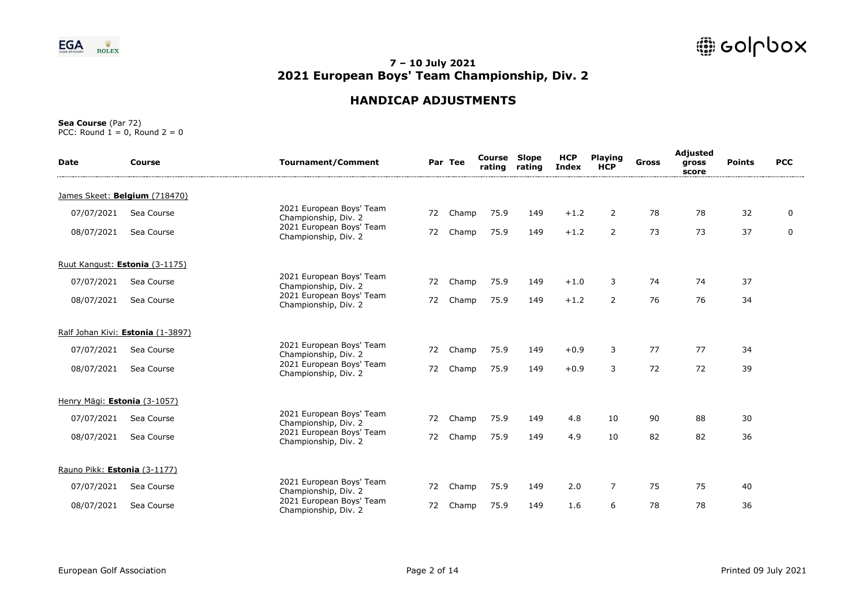

# **HANDICAP ADJUSTMENTS**

| <b>Date</b>                  | <b>Course</b>                     | <b>Tournament/Comment</b>                        |    | Par Tee | <b>Course Slope</b><br>rating | rating | <b>HCP</b><br><b>Index</b> | <b>Playing</b><br><b>HCP</b> | <b>Gross</b> | Adjusted<br>gross<br>score | <b>Points</b> | <b>PCC</b>  |
|------------------------------|-----------------------------------|--------------------------------------------------|----|---------|-------------------------------|--------|----------------------------|------------------------------|--------------|----------------------------|---------------|-------------|
|                              | James Skeet: Belgium (718470)     |                                                  |    |         |                               |        |                            |                              |              |                            |               |             |
| 07/07/2021                   | Sea Course                        | 2021 European Boys' Team<br>Championship, Div. 2 | 72 | Champ   | 75.9                          | 149    | $+1.2$                     | $\overline{2}$               | 78           | 78                         | 32            | 0           |
| 08/07/2021                   | Sea Course                        | 2021 European Boys' Team<br>Championship, Div. 2 | 72 | Champ   | 75.9                          | 149    | $+1.2$                     | $\overline{2}$               | 73           | 73                         | 37            | $\mathbf 0$ |
|                              | Ruut Kangust: Estonia (3-1175)    |                                                  |    |         |                               |        |                            |                              |              |                            |               |             |
| 07/07/2021                   | Sea Course                        | 2021 European Boys' Team<br>Championship, Div. 2 | 72 | Champ   | 75.9                          | 149    | $+1.0$                     | 3                            | 74           | 74                         | 37            |             |
| 08/07/2021                   | Sea Course                        | 2021 European Boys' Team<br>Championship, Div. 2 | 72 | Champ   | 75.9                          | 149    | $+1.2$                     | $\overline{2}$               | 76           | 76                         | 34            |             |
|                              | Ralf Johan Kivi: Estonia (1-3897) |                                                  |    |         |                               |        |                            |                              |              |                            |               |             |
| 07/07/2021                   | Sea Course                        | 2021 European Boys' Team<br>Championship, Div. 2 | 72 | Champ   | 75.9                          | 149    | $+0.9$                     | 3                            | 77           | 77                         | 34            |             |
| 08/07/2021                   | Sea Course                        | 2021 European Boys' Team<br>Championship, Div. 2 | 72 | Champ   | 75.9                          | 149    | $+0.9$                     | 3                            | 72           | 72                         | 39            |             |
| Henry Mägi: Estonia (3-1057) |                                   |                                                  |    |         |                               |        |                            |                              |              |                            |               |             |
| 07/07/2021                   | Sea Course                        | 2021 European Boys' Team<br>Championship, Div. 2 | 72 | Champ   | 75.9                          | 149    | 4.8                        | 10                           | 90           | 88                         | 30            |             |
| 08/07/2021                   | Sea Course                        | 2021 European Boys' Team<br>Championship, Div. 2 | 72 | Champ   | 75.9                          | 149    | 4.9                        | 10                           | 82           | 82                         | 36            |             |
| Rauno Pikk: Estonia (3-1177) |                                   |                                                  |    |         |                               |        |                            |                              |              |                            |               |             |
| 07/07/2021                   | Sea Course                        | 2021 European Boys' Team<br>Championship, Div. 2 | 72 | Champ   | 75.9                          | 149    | 2.0                        | $\overline{7}$               | 75           | 75                         | 40            |             |
| 08/07/2021                   | Sea Course                        | 2021 European Boys' Team<br>Championship, Div. 2 | 72 | Champ   | 75.9                          | 149    | 1.6                        | 6                            | 78           | 78                         | 36            |             |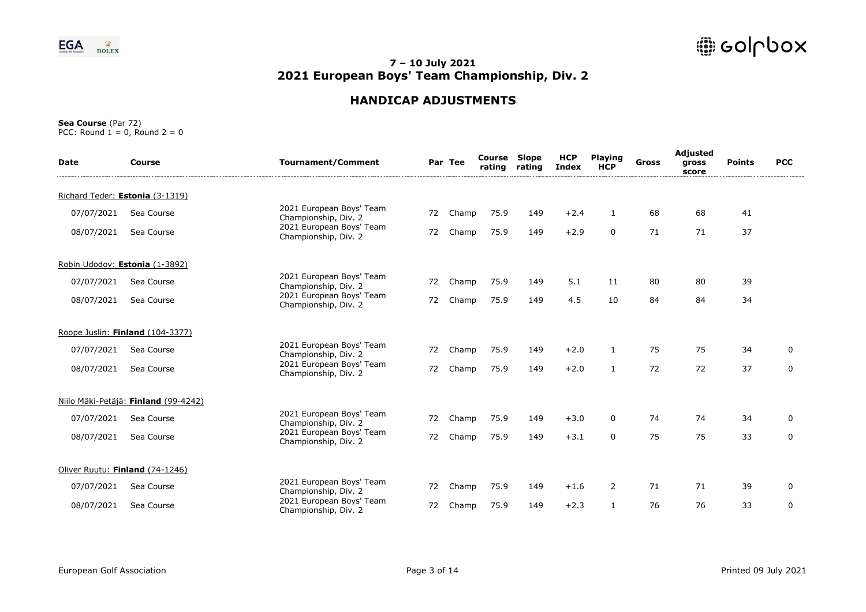

# **HANDICAP ADJUSTMENTS**

| <b>Date</b> | Course                               | <b>Tournament/Comment</b>                        |    | Par Tee | <b>Course Slope</b><br>rating | rating | <b>HCP</b><br>Index | <b>Playing</b><br><b>HCP</b> | Gross | Adjusted<br>gross<br>score | <b>Points</b> | <b>PCC</b>   |
|-------------|--------------------------------------|--------------------------------------------------|----|---------|-------------------------------|--------|---------------------|------------------------------|-------|----------------------------|---------------|--------------|
|             | Richard Teder: Estonia (3-1319)      |                                                  |    |         |                               |        |                     |                              |       |                            |               |              |
| 07/07/2021  | Sea Course                           | 2021 European Boys' Team<br>Championship, Div. 2 | 72 | Champ   | 75.9                          | 149    | $+2.4$              | $\mathbf{1}$                 | 68    | 68                         | 41            |              |
| 08/07/2021  | Sea Course                           | 2021 European Boys' Team<br>Championship, Div. 2 | 72 | Champ   | 75.9                          | 149    | $+2.9$              | $\mathbf 0$                  | 71    | 71                         | 37            |              |
|             | Robin Udodov: Estonia (1-3892)       |                                                  |    |         |                               |        |                     |                              |       |                            |               |              |
| 07/07/2021  | Sea Course                           | 2021 European Boys' Team<br>Championship, Div. 2 | 72 | Champ   | 75.9                          | 149    | 5.1                 | 11                           | 80    | 80                         | 39            |              |
| 08/07/2021  | Sea Course                           | 2021 European Boys' Team<br>Championship, Div. 2 | 72 | Champ   | 75.9                          | 149    | 4.5                 | 10                           | 84    | 84                         | 34            |              |
|             | Roope Juslin: Finland (104-3377)     |                                                  |    |         |                               |        |                     |                              |       |                            |               |              |
| 07/07/2021  | Sea Course                           | 2021 European Boys' Team<br>Championship, Div. 2 | 72 | Champ   | 75.9                          | 149    | $+2.0$              | 1                            | 75    | 75                         | 34            | $\mathbf 0$  |
| 08/07/2021  | Sea Course                           | 2021 European Boys' Team<br>Championship, Div. 2 | 72 | Champ   | 75.9                          | 149    | $+2.0$              | $\mathbf{1}$                 | 72    | 72                         | 37            | $\mathsf{O}$ |
|             | Niilo Mäki-Petäjä: Finland (99-4242) |                                                  |    |         |                               |        |                     |                              |       |                            |               |              |
| 07/07/2021  | Sea Course                           | 2021 European Boys' Team<br>Championship, Div. 2 | 72 | Champ   | 75.9                          | 149    | $+3.0$              | $\mathbf{0}$                 | 74    | 74                         | 34            | 0            |
| 08/07/2021  | Sea Course                           | 2021 European Boys' Team<br>Championship, Div. 2 | 72 | Champ   | 75.9                          | 149    | $+3.1$              | $\mathbf 0$                  | 75    | 75                         | 33            | $\mathbf 0$  |
|             | Oliver Ruutu: Finland (74-1246)      |                                                  |    |         |                               |        |                     |                              |       |                            |               |              |
| 07/07/2021  | Sea Course                           | 2021 European Boys' Team<br>Championship, Div. 2 | 72 | Champ   | 75.9                          | 149    | $+1.6$              | 2                            | 71    | 71                         | 39            | $\mathbf 0$  |
| 08/07/2021  | Sea Course                           | 2021 European Boys' Team<br>Championship, Div. 2 | 72 | Champ   | 75.9                          | 149    | $+2.3$              | $\mathbf{1}$                 | 76    | 76                         | 33            | 0            |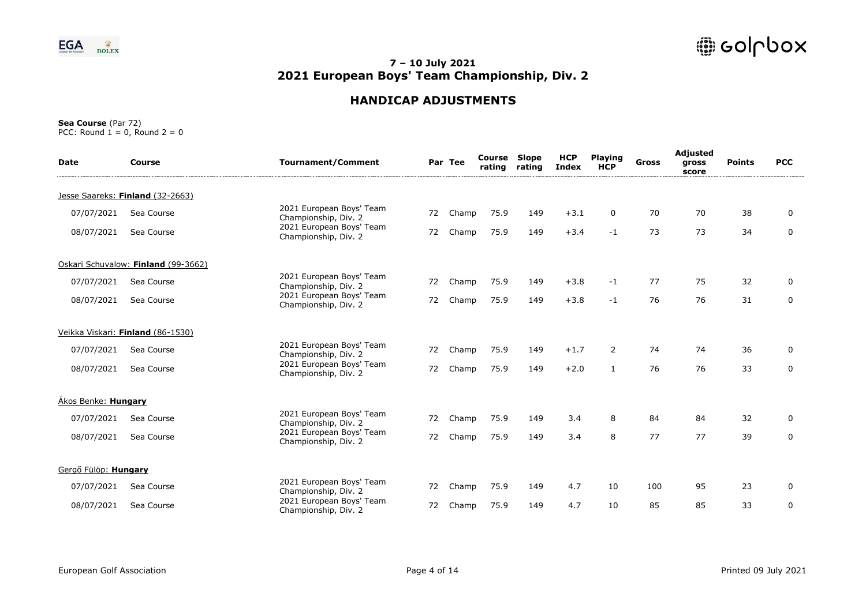

# **HANDICAP ADJUSTMENTS**

| <b>Date</b>          | Course                              | <b>Tournament/Comment</b>                        |    | Par Tee | Course<br>rating | <b>Slope</b><br>rating | <b>HCP</b><br><b>Index</b> | <b>Playing</b><br><b>HCP</b> | Gross | Adjusted<br>gross<br>score | <b>Points</b> | <b>PCC</b>  |
|----------------------|-------------------------------------|--------------------------------------------------|----|---------|------------------|------------------------|----------------------------|------------------------------|-------|----------------------------|---------------|-------------|
|                      | Jesse Saareks: Finland (32-2663)    |                                                  |    |         |                  |                        |                            |                              |       |                            |               |             |
| 07/07/2021           | Sea Course                          | 2021 European Boys' Team<br>Championship, Div. 2 | 72 | Champ   | 75.9             | 149                    | $+3.1$                     | 0                            | 70    | 70                         | 38            | 0           |
| 08/07/2021           | Sea Course                          | 2021 European Boys' Team<br>Championship, Div. 2 | 72 | Champ   | 75.9             | 149                    | $+3.4$                     | $-1$                         | 73    | 73                         | 34            | $\mathbf 0$ |
|                      | Oskari Schuvalow: Finland (99-3662) |                                                  |    |         |                  |                        |                            |                              |       |                            |               |             |
| 07/07/2021           | Sea Course                          | 2021 European Boys' Team<br>Championship, Div. 2 | 72 | Champ   | 75.9             | 149                    | $+3.8$                     | $-1$                         | 77    | 75                         | 32            | 0           |
| 08/07/2021           | Sea Course                          | 2021 European Boys' Team<br>Championship, Div. 2 | 72 | Champ   | 75.9             | 149                    | $+3.8$                     | $-1$                         | 76    | 76                         | 31            | 0           |
|                      | Veikka Viskari: Finland (86-1530)   |                                                  |    |         |                  |                        |                            |                              |       |                            |               |             |
| 07/07/2021           | Sea Course                          | 2021 European Boys' Team<br>Championship, Div. 2 | 72 | Champ   | 75.9             | 149                    | $+1.7$                     | $\overline{2}$               | 74    | 74                         | 36            | 0           |
| 08/07/2021           | Sea Course                          | 2021 European Boys' Team<br>Championship, Div. 2 | 72 | Champ   | 75.9             | 149                    | $+2.0$                     | $\mathbf{1}$                 | 76    | 76                         | 33            | 0           |
| Ákos Benke: Hungary  |                                     |                                                  |    |         |                  |                        |                            |                              |       |                            |               |             |
| 07/07/2021           | Sea Course                          | 2021 European Boys' Team<br>Championship, Div. 2 | 72 | Champ   | 75.9             | 149                    | 3.4                        | 8                            | 84    | 84                         | 32            | 0           |
| 08/07/2021           | Sea Course                          | 2021 European Boys' Team<br>Championship, Div. 2 | 72 | Champ   | 75.9             | 149                    | 3.4                        | 8                            | 77    | 77                         | 39            | 0           |
| Gergő Fülöp: Hungary |                                     |                                                  |    |         |                  |                        |                            |                              |       |                            |               |             |
| 07/07/2021           | Sea Course                          | 2021 European Boys' Team<br>Championship, Div. 2 | 72 | Champ   | 75.9             | 149                    | 4.7                        | 10                           | 100   | 95                         | 23            | 0           |
| 08/07/2021           | Sea Course                          | 2021 European Boys' Team<br>Championship, Div. 2 | 72 | Champ   | 75.9             | 149                    | 4.7                        | 10                           | 85    | 85                         | 33            | 0           |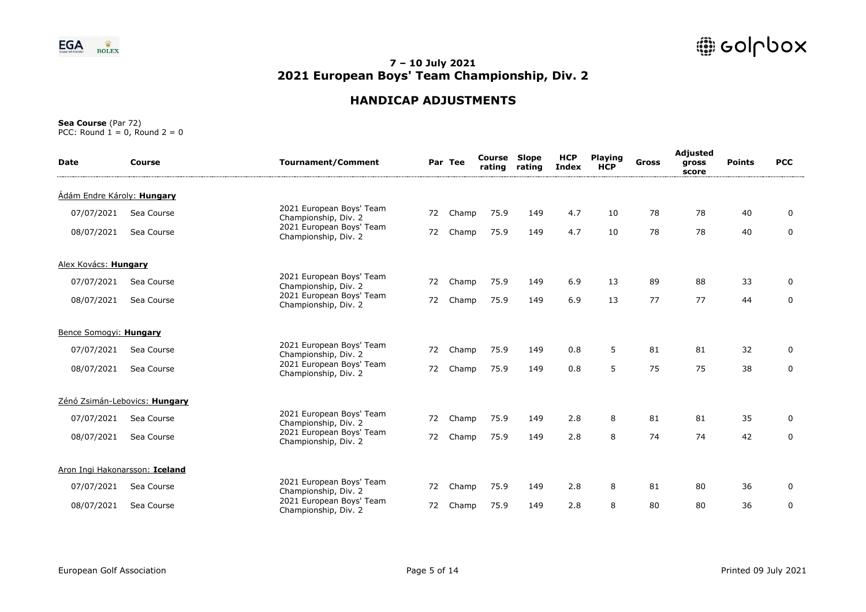

# **HANDICAP ADJUSTMENTS**

| <b>Date</b>                | Course                         | <b>Tournament/Comment</b>                        |    | Par Tee | Course<br>rating | <b>Slope</b><br>rating | <b>HCP</b><br><b>Index</b> | <b>Playing</b><br><b>HCP</b> | Gross | Adjusted<br>gross<br>score | <b>Points</b> | <b>PCC</b>  |
|----------------------------|--------------------------------|--------------------------------------------------|----|---------|------------------|------------------------|----------------------------|------------------------------|-------|----------------------------|---------------|-------------|
| Ádám Endre Károly: Hungary |                                |                                                  |    |         |                  |                        |                            |                              |       |                            |               |             |
| 07/07/2021                 | Sea Course                     | 2021 European Boys' Team<br>Championship, Div. 2 | 72 | Champ   | 75.9             | 149                    | 4.7                        | 10                           | 78    | 78                         | 40            | 0           |
| 08/07/2021                 | Sea Course                     | 2021 European Boys' Team<br>Championship, Div. 2 | 72 | Champ   | 75.9             | 149                    | 4.7                        | 10                           | 78    | 78                         | 40            | 0           |
| Alex Kovács: Hungary       |                                |                                                  |    |         |                  |                        |                            |                              |       |                            |               |             |
| 07/07/2021                 | Sea Course                     | 2021 European Boys' Team<br>Championship, Div. 2 | 72 | Champ   | 75.9             | 149                    | 6.9                        | 13                           | 89    | 88                         | 33            | 0           |
| 08/07/2021                 | Sea Course                     | 2021 European Boys' Team<br>Championship, Div. 2 | 72 | Champ   | 75.9             | 149                    | 6.9                        | 13                           | 77    | 77                         | 44            | $\mathbf 0$ |
| Bence Somogyi: Hungary     |                                |                                                  |    |         |                  |                        |                            |                              |       |                            |               |             |
| 07/07/2021                 | Sea Course                     | 2021 European Boys' Team<br>Championship, Div. 2 | 72 | Champ   | 75.9             | 149                    | 0.8                        | 5                            | 81    | 81                         | 32            | 0           |
| 08/07/2021                 | Sea Course                     | 2021 European Boys' Team<br>Championship, Div. 2 | 72 | Champ   | 75.9             | 149                    | 0.8                        | 5                            | 75    | 75                         | 38            | $\mathbf 0$ |
|                            | Zénó Zsimán-Lebovics: Hungary  |                                                  |    |         |                  |                        |                            |                              |       |                            |               |             |
| 07/07/2021                 | Sea Course                     | 2021 European Boys' Team<br>Championship, Div. 2 | 72 | Champ   | 75.9             | 149                    | 2.8                        | 8                            | 81    | 81                         | 35            | 0           |
| 08/07/2021                 | Sea Course                     | 2021 European Boys' Team<br>Championship, Div. 2 | 72 | Champ   | 75.9             | 149                    | 2.8                        | 8                            | 74    | 74                         | 42            | 0           |
|                            | Aron Ingi Hakonarsson: Iceland |                                                  |    |         |                  |                        |                            |                              |       |                            |               |             |
| 07/07/2021                 | Sea Course                     | 2021 European Boys' Team<br>Championship, Div. 2 | 72 | Champ   | 75.9             | 149                    | 2.8                        | 8                            | 81    | 80                         | 36            | 0           |
| 08/07/2021                 | Sea Course                     | 2021 European Boys' Team<br>Championship, Div. 2 | 72 | Champ   | 75.9             | 149                    | 2.8                        | 8                            | 80    | 80                         | 36            | 0           |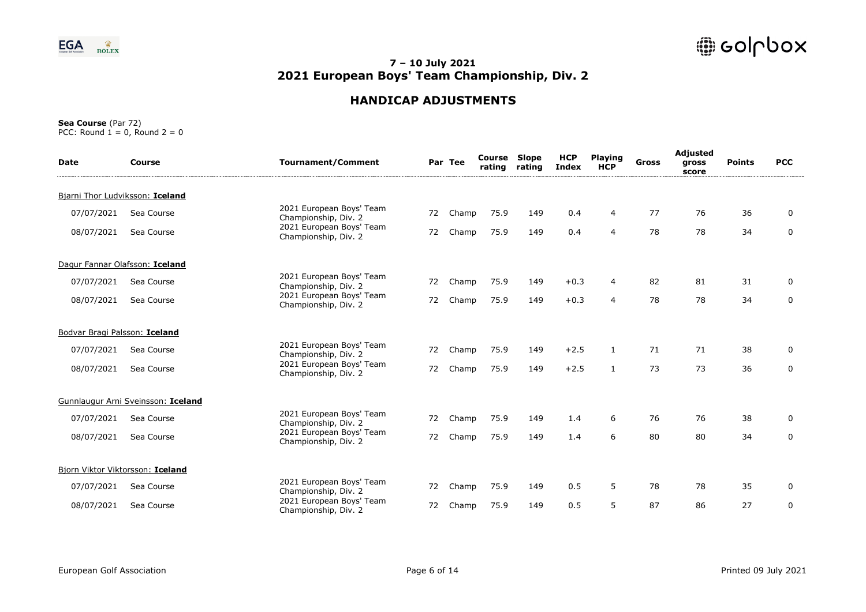

# **HANDICAP ADJUSTMENTS**

| <b>Date</b>                   | Course                             | <b>Tournament/Comment</b>                        |    | Par Tee | Course<br>rating | <b>Slope</b><br>rating | <b>HCP</b><br><b>Index</b> | <b>Playing</b><br><b>HCP</b> | Gross | Adjusted<br>gross<br>score | <b>Points</b> | <b>PCC</b>  |
|-------------------------------|------------------------------------|--------------------------------------------------|----|---------|------------------|------------------------|----------------------------|------------------------------|-------|----------------------------|---------------|-------------|
|                               | Bjarni Thor Ludviksson: Iceland    |                                                  |    |         |                  |                        |                            |                              |       |                            |               |             |
| 07/07/2021                    | Sea Course                         | 2021 European Boys' Team<br>Championship, Div. 2 | 72 | Champ   | 75.9             | 149                    | 0.4                        | 4                            | 77    | 76                         | 36            | 0           |
| 08/07/2021                    | Sea Course                         | 2021 European Boys' Team<br>Championship, Div. 2 | 72 | Champ   | 75.9             | 149                    | 0.4                        | $\overline{4}$               | 78    | 78                         | 34            | 0           |
|                               | Dagur Fannar Olafsson: Iceland     |                                                  |    |         |                  |                        |                            |                              |       |                            |               |             |
| 07/07/2021                    | Sea Course                         | 2021 European Boys' Team<br>Championship, Div. 2 | 72 | Champ   | 75.9             | 149                    | $+0.3$                     | $\overline{4}$               | 82    | 81                         | 31            | 0           |
| 08/07/2021                    | Sea Course                         | 2021 European Boys' Team<br>Championship, Div. 2 | 72 | Champ   | 75.9             | 149                    | $+0.3$                     | $\overline{4}$               | 78    | 78                         | 34            | $\mathbf 0$ |
| Bodvar Bragi Palsson: Iceland |                                    |                                                  |    |         |                  |                        |                            |                              |       |                            |               |             |
| 07/07/2021                    | Sea Course                         | 2021 European Boys' Team<br>Championship, Div. 2 | 72 | Champ   | 75.9             | 149                    | $+2.5$                     | 1                            | 71    | 71                         | 38            | 0           |
| 08/07/2021                    | Sea Course                         | 2021 European Boys' Team<br>Championship, Div. 2 | 72 | Champ   | 75.9             | 149                    | $+2.5$                     | $\mathbf{1}$                 | 73    | 73                         | 36            | 0           |
|                               | Gunnlaugur Arni Sveinsson: Iceland |                                                  |    |         |                  |                        |                            |                              |       |                            |               |             |
| 07/07/2021                    | Sea Course                         | 2021 European Boys' Team<br>Championship, Div. 2 | 72 | Champ   | 75.9             | 149                    | 1.4                        | 6                            | 76    | 76                         | 38            | 0           |
| 08/07/2021                    | Sea Course                         | 2021 European Boys' Team<br>Championship, Div. 2 | 72 | Champ   | 75.9             | 149                    | 1.4                        | 6                            | 80    | 80                         | 34            | 0           |
|                               | Biorn Viktor Viktorsson: Iceland   |                                                  |    |         |                  |                        |                            |                              |       |                            |               |             |
| 07/07/2021                    | Sea Course                         | 2021 European Boys' Team<br>Championship, Div. 2 | 72 | Champ   | 75.9             | 149                    | 0.5                        | 5                            | 78    | 78                         | 35            | 0           |
| 08/07/2021                    | Sea Course                         | 2021 European Boys' Team<br>Championship, Div. 2 | 72 | Champ   | 75.9             | 149                    | 0.5                        | 5                            | 87    | 86                         | 27            | 0           |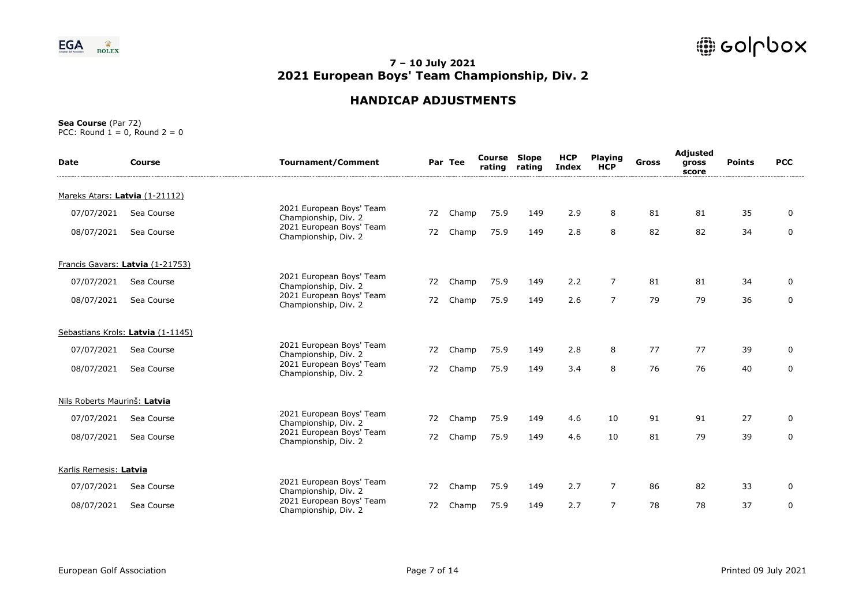

# **HANDICAP ADJUSTMENTS**

| <b>Date</b>                    | Course                            | <b>Tournament/Comment</b>                        |    | Par Tee | Course<br>rating | <b>Slope</b><br>rating | <b>HCP</b><br><b>Index</b> | <b>Playing</b><br><b>HCP</b> | <b>Gross</b> | Adjusted<br>gross<br>score | <b>Points</b> | <b>PCC</b>  |
|--------------------------------|-----------------------------------|--------------------------------------------------|----|---------|------------------|------------------------|----------------------------|------------------------------|--------------|----------------------------|---------------|-------------|
| Mareks Atars: Latvia (1-21112) |                                   |                                                  |    |         |                  |                        |                            |                              |              |                            |               |             |
| 07/07/2021                     | Sea Course                        | 2021 European Boys' Team<br>Championship, Div. 2 | 72 | Champ   | 75.9             | 149                    | 2.9                        | 8                            | 81           | 81                         | 35            | 0           |
| 08/07/2021                     | Sea Course                        | 2021 European Boys' Team<br>Championship, Div. 2 | 72 | Champ   | 75.9             | 149                    | 2.8                        | 8                            | 82           | 82                         | 34            | $\mathbf 0$ |
|                                | Francis Gavars: Latvia (1-21753)  |                                                  |    |         |                  |                        |                            |                              |              |                            |               |             |
| 07/07/2021                     | Sea Course                        | 2021 European Boys' Team<br>Championship, Div. 2 | 72 | Champ   | 75.9             | 149                    | 2.2                        | $\overline{7}$               | 81           | 81                         | 34            | 0           |
| 08/07/2021                     | Sea Course                        | 2021 European Boys' Team<br>Championship, Div. 2 | 72 | Champ   | 75.9             | 149                    | 2.6                        | $\overline{7}$               | 79           | 79                         | 36            | 0           |
|                                | Sebastians Krols: Latvia (1-1145) |                                                  |    |         |                  |                        |                            |                              |              |                            |               |             |
| 07/07/2021                     | Sea Course                        | 2021 European Boys' Team<br>Championship, Div. 2 | 72 | Champ   | 75.9             | 149                    | 2.8                        | 8                            | 77           | 77                         | 39            | 0           |
| 08/07/2021                     | Sea Course                        | 2021 European Boys' Team<br>Championship, Div. 2 | 72 | Champ   | 75.9             | 149                    | 3.4                        | 8                            | 76           | 76                         | 40            | $\mathbf 0$ |
| Nils Roberts Maurinš: Latvia   |                                   |                                                  |    |         |                  |                        |                            |                              |              |                            |               |             |
| 07/07/2021                     | Sea Course                        | 2021 European Boys' Team<br>Championship, Div. 2 | 72 | Champ   | 75.9             | 149                    | 4.6                        | 10                           | 91           | 91                         | 27            | 0           |
| 08/07/2021                     | Sea Course                        | 2021 European Boys' Team<br>Championship, Div. 2 | 72 | Champ   | 75.9             | 149                    | 4.6                        | 10                           | 81           | 79                         | 39            | $\mathbf 0$ |
| Karlis Remesis: Latvia         |                                   |                                                  |    |         |                  |                        |                            |                              |              |                            |               |             |
| 07/07/2021                     | Sea Course                        | 2021 European Boys' Team<br>Championship, Div. 2 | 72 | Champ   | 75.9             | 149                    | 2.7                        | $\overline{7}$               | 86           | 82                         | 33            | 0           |
| 08/07/2021                     | Sea Course                        | 2021 European Boys' Team<br>Championship, Div. 2 | 72 | Champ   | 75.9             | 149                    | 2.7                        | $\overline{7}$               | 78           | 78                         | 37            | 0           |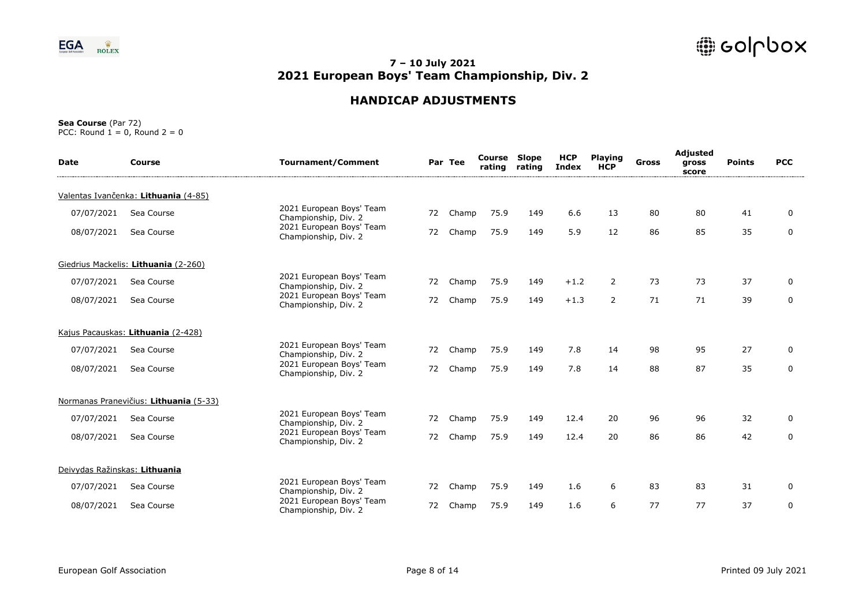

# **HANDICAP ADJUSTMENTS**

| <b>Date</b>                   | Course                                 | <b>Tournament/Comment</b>                        |    | Par Tee | Course<br>rating | <b>Slope</b><br>rating | <b>HCP</b><br><b>Index</b> | <b>Playing</b><br><b>HCP</b> | Gross | Adjusted<br>gross<br>score | <b>Points</b> | <b>PCC</b>  |
|-------------------------------|----------------------------------------|--------------------------------------------------|----|---------|------------------|------------------------|----------------------------|------------------------------|-------|----------------------------|---------------|-------------|
|                               | Valentas Ivančenka: Lithuania (4-85)   |                                                  |    |         |                  |                        |                            |                              |       |                            |               |             |
| 07/07/2021                    | Sea Course                             | 2021 European Boys' Team<br>Championship, Div. 2 | 72 | Champ   | 75.9             | 149                    | 6.6                        | 13                           | 80    | 80                         | 41            | 0           |
| 08/07/2021                    | Sea Course                             | 2021 European Boys' Team<br>Championship, Div. 2 | 72 | Champ   | 75.9             | 149                    | 5.9                        | 12                           | 86    | 85                         | 35            | 0           |
|                               | Giedrius Mackelis: Lithuania (2-260)   |                                                  |    |         |                  |                        |                            |                              |       |                            |               |             |
| 07/07/2021                    | Sea Course                             | 2021 European Boys' Team<br>Championship, Div. 2 | 72 | Champ   | 75.9             | 149                    | $+1.2$                     | $\overline{2}$               | 73    | 73                         | 37            | 0           |
| 08/07/2021                    | Sea Course                             | 2021 European Boys' Team<br>Championship, Div. 2 | 72 | Champ   | 75.9             | 149                    | $+1.3$                     | $\overline{2}$               | 71    | 71                         | 39            | $\mathbf 0$ |
|                               | Kajus Pacauskas: Lithuania (2-428)     |                                                  |    |         |                  |                        |                            |                              |       |                            |               |             |
| 07/07/2021                    | Sea Course                             | 2021 European Boys' Team<br>Championship, Div. 2 | 72 | Champ   | 75.9             | 149                    | 7.8                        | 14                           | 98    | 95                         | 27            | 0           |
| 08/07/2021                    | Sea Course                             | 2021 European Boys' Team<br>Championship, Div. 2 | 72 | Champ   | 75.9             | 149                    | 7.8                        | 14                           | 88    | 87                         | 35            | 0           |
|                               | Normanas Pranevičius: Lithuania (5-33) |                                                  |    |         |                  |                        |                            |                              |       |                            |               |             |
| 07/07/2021                    | Sea Course                             | 2021 European Boys' Team<br>Championship, Div. 2 | 72 | Champ   | 75.9             | 149                    | 12.4                       | 20                           | 96    | 96                         | 32            | 0           |
| 08/07/2021                    | Sea Course                             | 2021 European Boys' Team<br>Championship, Div. 2 | 72 | Champ   | 75.9             | 149                    | 12.4                       | 20                           | 86    | 86                         | 42            | $\mathbf 0$ |
| Deivydas Ražinskas: Lithuania |                                        |                                                  |    |         |                  |                        |                            |                              |       |                            |               |             |
| 07/07/2021                    | Sea Course                             | 2021 European Boys' Team<br>Championship, Div. 2 | 72 | Champ   | 75.9             | 149                    | 1.6                        | 6                            | 83    | 83                         | 31            | 0           |
| 08/07/2021                    | Sea Course                             | 2021 European Boys' Team<br>Championship, Div. 2 | 72 | Champ   | 75.9             | 149                    | 1.6                        | 6                            | 77    | 77                         | 37            | 0           |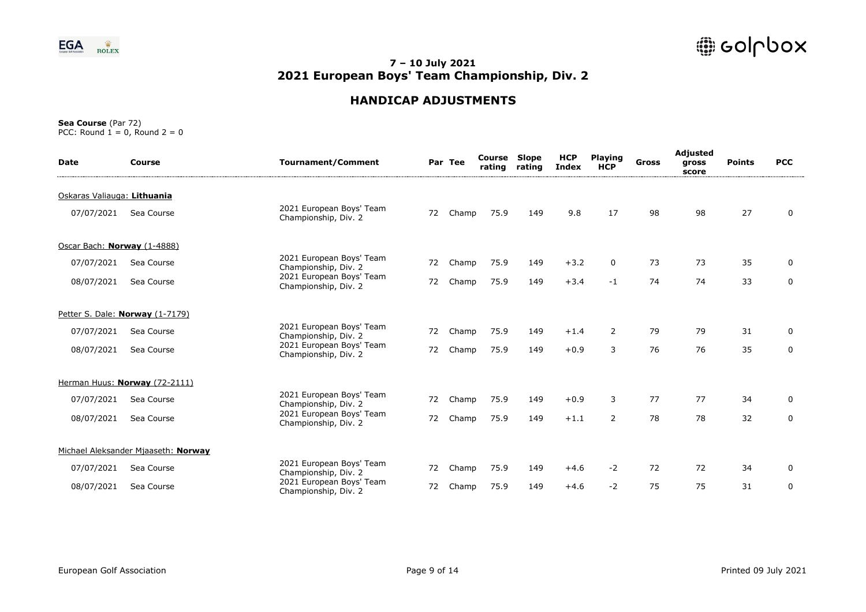

### **HANDICAP ADJUSTMENTS**

| <b>Date</b>                 | Course                              | <b>Tournament/Comment</b>                        |    | Par Tee | Course<br>rating | <b>Slope</b><br>rating | <b>HCP</b><br>Index | <b>Playing</b><br><b>HCP</b> | Gross | Adjusted<br>gross<br>score | <b>Points</b> | <b>PCC</b>  |
|-----------------------------|-------------------------------------|--------------------------------------------------|----|---------|------------------|------------------------|---------------------|------------------------------|-------|----------------------------|---------------|-------------|
| Oskaras Valiauga: Lithuania |                                     |                                                  |    |         |                  |                        |                     |                              |       |                            |               |             |
| 07/07/2021                  | Sea Course                          | 2021 European Boys' Team<br>Championship, Div. 2 | 72 | Champ   | 75.9             | 149                    | 9.8                 | 17                           | 98    | 98                         | 27            | 0           |
| Oscar Bach: Norway (1-4888) |                                     |                                                  |    |         |                  |                        |                     |                              |       |                            |               |             |
| 07/07/2021                  | Sea Course                          | 2021 European Boys' Team<br>Championship, Div. 2 | 72 | Champ   | 75.9             | 149                    | $+3.2$              | $\mathbf 0$                  | 73    | 73                         | 35            | 0           |
| 08/07/2021                  | Sea Course                          | 2021 European Boys' Team<br>Championship, Div. 2 | 72 | Champ   | 75.9             | 149                    | $+3.4$              | $-1$                         | 74    | 74                         | 33            | $\mathbf 0$ |
|                             | Petter S. Dale: Norway (1-7179)     |                                                  |    |         |                  |                        |                     |                              |       |                            |               |             |
| 07/07/2021                  | Sea Course                          | 2021 European Boys' Team<br>Championship, Div. 2 | 72 | Champ   | 75.9             | 149                    | $+1.4$              | $\overline{2}$               | 79    | 79                         | 31            | 0           |
| 08/07/2021                  | Sea Course                          | 2021 European Boys' Team<br>Championship, Div. 2 | 72 | Champ   | 75.9             | 149                    | $+0.9$              | 3                            | 76    | 76                         | 35            | $\mathbf 0$ |
|                             | Herman Huus: Norway (72-2111)       |                                                  |    |         |                  |                        |                     |                              |       |                            |               |             |
| 07/07/2021                  | Sea Course                          | 2021 European Boys' Team<br>Championship, Div. 2 | 72 | Champ   | 75.9             | 149                    | $+0.9$              | 3                            | 77    | 77                         | 34            | $\mathbf 0$ |
| 08/07/2021                  | Sea Course                          | 2021 European Boys' Team<br>Championship, Div. 2 | 72 | Champ   | 75.9             | 149                    | $+1.1$              | $\overline{2}$               | 78    | 78                         | 32            | 0           |
|                             | Michael Aleksander Mjaaseth: Norway |                                                  |    |         |                  |                        |                     |                              |       |                            |               |             |
| 07/07/2021                  | Sea Course                          | 2021 European Boys' Team<br>Championship, Div. 2 | 72 | Champ   | 75.9             | 149                    | $+4.6$              | $-2$                         | 72    | 72                         | 34            | 0           |
| 08/07/2021                  | Sea Course                          | 2021 European Boys' Team<br>Championship, Div. 2 | 72 | Champ   | 75.9             | 149                    | $+4.6$              | $-2$                         | 75    | 75                         | 31            | $\mathbf 0$ |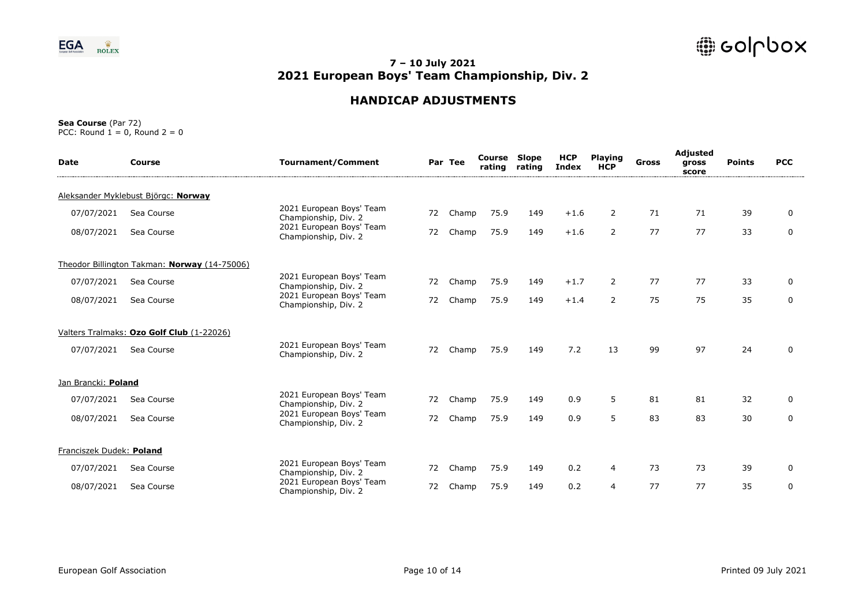

# **HANDICAP ADJUSTMENTS**

| <b>Date</b>              | Course                                       | <b>Tournament/Comment</b>                        |    | Par Tee | Course<br>rating | <b>Slope</b><br>rating | <b>HCP</b><br><b>Index</b> | <b>Playing</b><br><b>HCP</b> | <b>Gross</b> | Adjusted<br>gross<br>score | <b>Points</b> | <b>PCC</b>  |
|--------------------------|----------------------------------------------|--------------------------------------------------|----|---------|------------------|------------------------|----------------------------|------------------------------|--------------|----------------------------|---------------|-------------|
|                          | Aleksander Myklebust Björgc: Norway          |                                                  |    |         |                  |                        |                            |                              |              |                            |               |             |
| 07/07/2021               | Sea Course                                   | 2021 European Boys' Team<br>Championship, Div. 2 | 72 | Champ   | 75.9             | 149                    | $+1.6$                     | 2                            | 71           | 71                         | 39            | 0           |
| 08/07/2021               | Sea Course                                   | 2021 European Boys' Team<br>Championship, Div. 2 | 72 | Champ   | 75.9             | 149                    | $+1.6$                     | $\overline{2}$               | 77           | 77                         | 33            | 0           |
|                          | Theodor Billington Takman: Norway (14-75006) |                                                  |    |         |                  |                        |                            |                              |              |                            |               |             |
| 07/07/2021               | Sea Course                                   | 2021 European Boys' Team<br>Championship, Div. 2 | 72 | Champ   | 75.9             | 149                    | $+1.7$                     | $\overline{2}$               | 77           | 77                         | 33            | 0           |
| 08/07/2021               | Sea Course                                   | 2021 European Boys' Team<br>Championship, Div. 2 | 72 | Champ   | 75.9             | 149                    | $+1.4$                     | $\overline{2}$               | 75           | 75                         | 35            | $\mathbf 0$ |
|                          | Valters Tralmaks: Ozo Golf Club (1-22026)    |                                                  |    |         |                  |                        |                            |                              |              |                            |               |             |
| 07/07/2021               | Sea Course                                   | 2021 European Boys' Team<br>Championship, Div. 2 | 72 | Champ   | 75.9             | 149                    | 7.2                        | 13                           | 99           | 97                         | 24            | 0           |
| Jan Brancki: Poland      |                                              |                                                  |    |         |                  |                        |                            |                              |              |                            |               |             |
| 07/07/2021               | Sea Course                                   | 2021 European Boys' Team<br>Championship, Div. 2 | 72 | Champ   | 75.9             | 149                    | 0.9                        | 5                            | 81           | 81                         | 32            | 0           |
| 08/07/2021               | Sea Course                                   | 2021 European Boys' Team<br>Championship, Div. 2 | 72 | Champ   | 75.9             | 149                    | 0.9                        | 5                            | 83           | 83                         | 30            | $\mathbf 0$ |
| Franciszek Dudek: Poland |                                              |                                                  |    |         |                  |                        |                            |                              |              |                            |               |             |
| 07/07/2021               | Sea Course                                   | 2021 European Boys' Team<br>Championship, Div. 2 | 72 | Champ   | 75.9             | 149                    | 0.2                        | 4                            | 73           | 73                         | 39            | 0           |
| 08/07/2021               | Sea Course                                   | 2021 European Boys' Team<br>Championship, Div. 2 | 72 | Champ   | 75.9             | 149                    | 0.2                        | $\overline{4}$               | 77           | 77                         | 35            | 0           |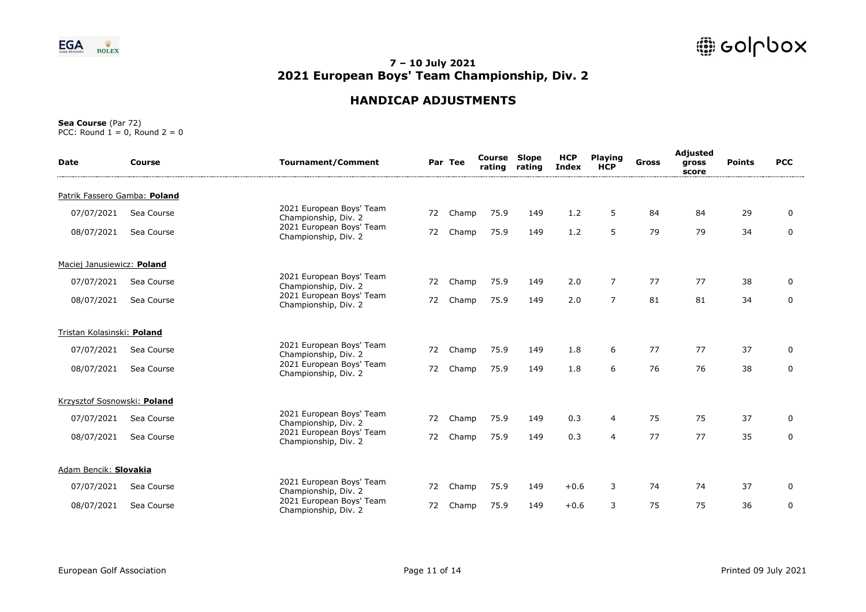

# **HANDICAP ADJUSTMENTS**

| <b>Date</b>                  | <b>Course</b> | <b>Tournament/Comment</b>                        |    | Par Tee | Course<br>rating | <b>Slope</b><br>rating | <b>HCP</b><br>Index | <b>Playing</b><br><b>HCP</b> | <b>Gross</b> | Adjusted<br>gross<br>score | <b>Points</b> | <b>PCC</b>  |
|------------------------------|---------------|--------------------------------------------------|----|---------|------------------|------------------------|---------------------|------------------------------|--------------|----------------------------|---------------|-------------|
| Patrik Fassero Gamba: Poland |               |                                                  |    |         |                  |                        |                     |                              |              |                            |               |             |
| 07/07/2021                   | Sea Course    | 2021 European Boys' Team<br>Championship, Div. 2 | 72 | Champ   | 75.9             | 149                    | 1.2                 | 5                            | 84           | 84                         | 29            | $\mathbf 0$ |
| 08/07/2021                   | Sea Course    | 2021 European Boys' Team<br>Championship, Div. 2 | 72 | Champ   | 75.9             | 149                    | 1.2                 | 5                            | 79           | 79                         | 34            | 0           |
| Maciej Janusiewicz: Poland   |               |                                                  |    |         |                  |                        |                     |                              |              |                            |               |             |
| 07/07/2021                   | Sea Course    | 2021 European Boys' Team<br>Championship, Div. 2 | 72 | Champ   | 75.9             | 149                    | 2.0                 | $\overline{7}$               | 77           | 77                         | 38            | 0           |
| 08/07/2021                   | Sea Course    | 2021 European Boys' Team<br>Championship, Div. 2 | 72 | Champ   | 75.9             | 149                    | 2.0                 | $\overline{7}$               | 81           | 81                         | 34            | 0           |
| Tristan Kolasinski: Poland   |               |                                                  |    |         |                  |                        |                     |                              |              |                            |               |             |
| 07/07/2021                   | Sea Course    | 2021 European Boys' Team<br>Championship, Div. 2 | 72 | Champ   | 75.9             | 149                    | 1.8                 | 6                            | 77           | 77                         | 37            | 0           |
| 08/07/2021                   | Sea Course    | 2021 European Boys' Team<br>Championship, Div. 2 | 72 | Champ   | 75.9             | 149                    | 1.8                 | 6                            | 76           | 76                         | 38            | 0           |
| Krzysztof Sosnowski: Poland  |               |                                                  |    |         |                  |                        |                     |                              |              |                            |               |             |
| 07/07/2021                   | Sea Course    | 2021 European Boys' Team<br>Championship, Div. 2 | 72 | Champ   | 75.9             | 149                    | 0.3                 | 4                            | 75           | 75                         | 37            | 0           |
| 08/07/2021                   | Sea Course    | 2021 European Boys' Team<br>Championship, Div. 2 | 72 | Champ   | 75.9             | 149                    | 0.3                 | $\overline{4}$               | 77           | 77                         | 35            | 0           |
| Adam Bencik: Slovakia        |               |                                                  |    |         |                  |                        |                     |                              |              |                            |               |             |
| 07/07/2021                   | Sea Course    | 2021 European Boys' Team<br>Championship, Div. 2 | 72 | Champ   | 75.9             | 149                    | $+0.6$              | 3                            | 74           | 74                         | 37            | $\mathbf 0$ |
| 08/07/2021                   | Sea Course    | 2021 European Boys' Team<br>Championship, Div. 2 | 72 | Champ   | 75.9             | 149                    | $+0.6$              | 3                            | 75           | 75                         | 36            | 0           |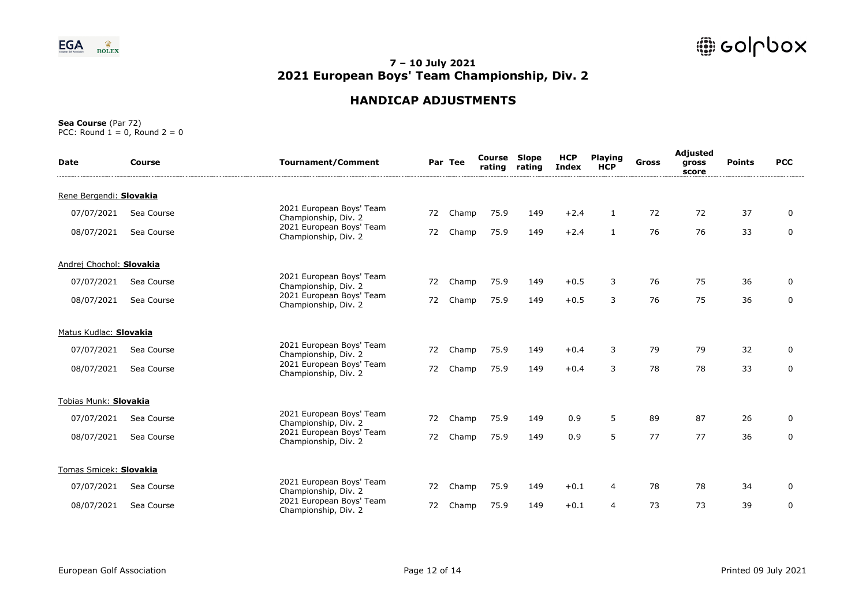

# **HANDICAP ADJUSTMENTS**

| <b>Date</b>              | <b>Course</b> | <b>Tournament/Comment</b>                        |    | Par Tee | Course<br>rating | Slope<br>rating | <b>HCP</b><br><b>Index</b> | <b>Playing</b><br><b>HCP</b> | Gross | Adjusted<br>gross<br>score | <b>Points</b> | <b>PCC</b>  |
|--------------------------|---------------|--------------------------------------------------|----|---------|------------------|-----------------|----------------------------|------------------------------|-------|----------------------------|---------------|-------------|
| Rene Bergendi: Slovakia  |               |                                                  |    |         |                  |                 |                            |                              |       |                            |               |             |
| 07/07/2021               | Sea Course    | 2021 European Boys' Team<br>Championship, Div. 2 | 72 | Champ   | 75.9             | 149             | $+2.4$                     | $\mathbf{1}$                 | 72    | 72                         | 37            | 0           |
| 08/07/2021               | Sea Course    | 2021 European Boys' Team<br>Championship, Div. 2 | 72 | Champ   | 75.9             | 149             | $+2.4$                     | $\mathbf{1}$                 | 76    | 76                         | 33            | $\mathbf 0$ |
| Andrej Chochol: Slovakia |               |                                                  |    |         |                  |                 |                            |                              |       |                            |               |             |
| 07/07/2021               | Sea Course    | 2021 European Boys' Team<br>Championship, Div. 2 | 72 | Champ   | 75.9             | 149             | $+0.5$                     | 3                            | 76    | 75                         | 36            | 0           |
| 08/07/2021               | Sea Course    | 2021 European Boys' Team<br>Championship, Div. 2 | 72 | Champ   | 75.9             | 149             | $+0.5$                     | 3                            | 76    | 75                         | 36            | 0           |
| Matus Kudlac: Slovakia   |               |                                                  |    |         |                  |                 |                            |                              |       |                            |               |             |
| 07/07/2021               | Sea Course    | 2021 European Boys' Team<br>Championship, Div. 2 | 72 | Champ   | 75.9             | 149             | $+0.4$                     | 3                            | 79    | 79                         | 32            | $\mathbf 0$ |
| 08/07/2021               | Sea Course    | 2021 European Boys' Team<br>Championship, Div. 2 | 72 | Champ   | 75.9             | 149             | $+0.4$                     | 3                            | 78    | 78                         | 33            | 0           |
| Tobias Munk: Slovakia    |               |                                                  |    |         |                  |                 |                            |                              |       |                            |               |             |
| 07/07/2021               | Sea Course    | 2021 European Boys' Team<br>Championship, Div. 2 | 72 | Champ   | 75.9             | 149             | 0.9                        | 5                            | 89    | 87                         | 26            | 0           |
| 08/07/2021               | Sea Course    | 2021 European Boys' Team<br>Championship, Div. 2 | 72 | Champ   | 75.9             | 149             | 0.9                        | 5                            | 77    | 77                         | 36            | $\mathbf 0$ |
| Tomas Smicek: Slovakia   |               |                                                  |    |         |                  |                 |                            |                              |       |                            |               |             |
| 07/07/2021               | Sea Course    | 2021 European Boys' Team<br>Championship, Div. 2 | 72 | Champ   | 75.9             | 149             | $+0.1$                     | 4                            | 78    | 78                         | 34            | 0           |
| 08/07/2021               | Sea Course    | 2021 European Boys' Team<br>Championship, Div. 2 | 72 | Champ   | 75.9             | 149             | $+0.1$                     | $\overline{4}$               | 73    | 73                         | 39            | $\mathbf 0$ |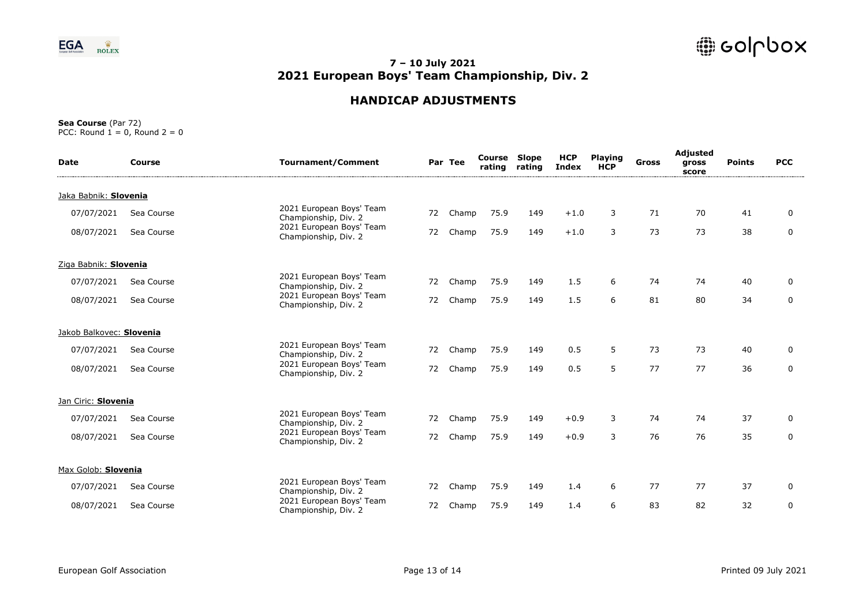

# **HANDICAP ADJUSTMENTS**

| <b>Date</b>              | Course     | <b>Tournament/Comment</b>                        |    | Par Tee | Course<br>rating | <b>Slope</b><br>rating | <b>HCP</b><br><b>Index</b> | <b>Playing</b><br><b>HCP</b> | Gross | Adjusted<br>gross<br>score | <b>Points</b> | <b>PCC</b>  |
|--------------------------|------------|--------------------------------------------------|----|---------|------------------|------------------------|----------------------------|------------------------------|-------|----------------------------|---------------|-------------|
| Jaka Babnik: Slovenia    |            |                                                  |    |         |                  |                        |                            |                              |       |                            |               |             |
| 07/07/2021               | Sea Course | 2021 European Boys' Team<br>Championship, Div. 2 | 72 | Champ   | 75.9             | 149                    | $+1.0$                     | 3                            | 71    | 70                         | 41            | 0           |
| 08/07/2021               | Sea Course | 2021 European Boys' Team<br>Championship, Div. 2 | 72 | Champ   | 75.9             | 149                    | $+1.0$                     | 3                            | 73    | 73                         | 38            | 0           |
| Ziga Babnik: Slovenia    |            |                                                  |    |         |                  |                        |                            |                              |       |                            |               |             |
| 07/07/2021               | Sea Course | 2021 European Boys' Team<br>Championship, Div. 2 | 72 | Champ   | 75.9             | 149                    | 1.5                        | 6                            | 74    | 74                         | 40            | 0           |
| 08/07/2021               | Sea Course | 2021 European Boys' Team<br>Championship, Div. 2 | 72 | Champ   | 75.9             | 149                    | 1.5                        | 6                            | 81    | 80                         | 34            | $\mathbf 0$ |
| Jakob Balkovec: Slovenia |            |                                                  |    |         |                  |                        |                            |                              |       |                            |               |             |
| 07/07/2021               | Sea Course | 2021 European Boys' Team<br>Championship, Div. 2 | 72 | Champ   | 75.9             | 149                    | 0.5                        | 5                            | 73    | 73                         | 40            | 0           |
| 08/07/2021               | Sea Course | 2021 European Boys' Team<br>Championship, Div. 2 | 72 | Champ   | 75.9             | 149                    | 0.5                        | 5                            | 77    | 77                         | 36            | 0           |
| Jan Ciric: Slovenia      |            |                                                  |    |         |                  |                        |                            |                              |       |                            |               |             |
| 07/07/2021               | Sea Course | 2021 European Boys' Team<br>Championship, Div. 2 | 72 | Champ   | 75.9             | 149                    | $+0.9$                     | 3                            | 74    | 74                         | 37            | $\mathbf 0$ |
| 08/07/2021               | Sea Course | 2021 European Boys' Team<br>Championship, Div. 2 | 72 | Champ   | 75.9             | 149                    | $+0.9$                     | 3                            | 76    | 76                         | 35            | $\mathbf 0$ |
| Max Golob: Slovenia      |            |                                                  |    |         |                  |                        |                            |                              |       |                            |               |             |
| 07/07/2021               | Sea Course | 2021 European Boys' Team<br>Championship, Div. 2 | 72 | Champ   | 75.9             | 149                    | 1.4                        | 6                            | 77    | 77                         | 37            | 0           |
| 08/07/2021               | Sea Course | 2021 European Boys' Team<br>Championship, Div. 2 | 72 | Champ   | 75.9             | 149                    | 1.4                        | 6                            | 83    | 82                         | 32            | 0           |